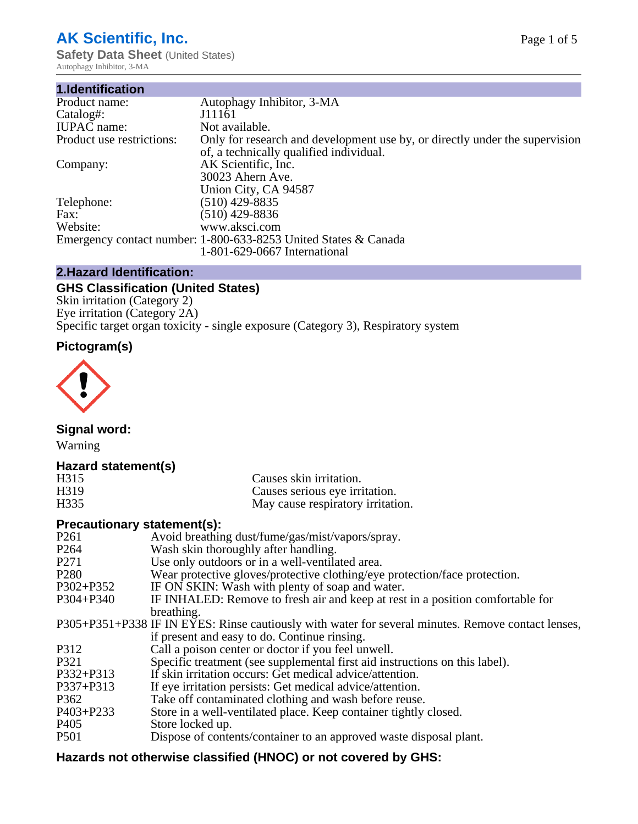# **AK Scientific, Inc.**

**Safety Data Sheet (United States)** Autophagy Inhibitor, 3-MA

| 1.Identification          |                                                                                                                        |
|---------------------------|------------------------------------------------------------------------------------------------------------------------|
| Product name:             | Autophagy Inhibitor, 3-MA                                                                                              |
| Catalog#:                 | J11161                                                                                                                 |
| <b>IUPAC</b> name:        | Not available.                                                                                                         |
| Product use restrictions: | Only for research and development use by, or directly under the supervision<br>of, a technically qualified individual. |
| Company:                  | AK Scientific, Inc.<br>30023 Ahern Ave.                                                                                |
|                           | Union City, CA 94587                                                                                                   |
| Telephone:                | $(510)$ 429-8835                                                                                                       |
| Fax:                      | (510) 429-8836                                                                                                         |
| Website:                  | www.aksci.com                                                                                                          |
|                           | Emergency contact number: 1-800-633-8253 United States & Canada                                                        |
|                           | 1-801-629-0667 International                                                                                           |

# **2.Hazard Identification:**

# **GHS Classification (United States)**

Skin irritation (Category 2) Eye irritation (Category 2A) Specific target organ toxicity - single exposure (Category 3), Respiratory system

# **Pictogram(s)**



**Signal word:**

Warning

## **Hazard statement(s)**

| H315              | Causes skin irritation.           |
|-------------------|-----------------------------------|
| H <sub>3</sub> 19 | Causes serious eye irritation.    |
| H335              | May cause respiratory irritation. |

## **Precautionary statement(s):**

| P <sub>261</sub> | Avoid breathing dust/fume/gas/mist/vapors/spray.                                                   |
|------------------|----------------------------------------------------------------------------------------------------|
| P <sub>264</sub> | Wash skin thoroughly after handling.                                                               |
| P <sub>271</sub> | Use only outdoors or in a well-ventilated area.                                                    |
| P <sub>280</sub> | Wear protective gloves/protective clothing/eye protection/face protection.                         |
| P302+P352        | IF ON SKIN: Wash with plenty of soap and water.                                                    |
| $P304 + P340$    | IF INHALED: Remove to fresh air and keep at rest in a position comfortable for                     |
|                  | breathing.                                                                                         |
|                  | P305+P351+P338 IF IN EYES: Rinse cautiously with water for several minutes. Remove contact lenses, |
|                  | if present and easy to do. Continue rinsing.                                                       |
| P312             | Call a poison center or doctor if you feel unwell.                                                 |
| P321             | Specific treatment (see supplemental first aid instructions on this label).                        |
| P332+P313        | If skin irritation occurs: Get medical advice/attention.                                           |
| P337+P313        | If eye irritation persists: Get medical advice/attention.                                          |
| P362             | Take off contaminated clothing and wash before reuse.                                              |
| $P403 + P233$    | Store in a well-ventilated place. Keep container tightly closed.                                   |
| P <sub>405</sub> | Store locked up.                                                                                   |
| P <sub>501</sub> | Dispose of contents/container to an approved waste disposal plant.                                 |
|                  |                                                                                                    |

# **Hazards not otherwise classified (HNOC) or not covered by GHS:**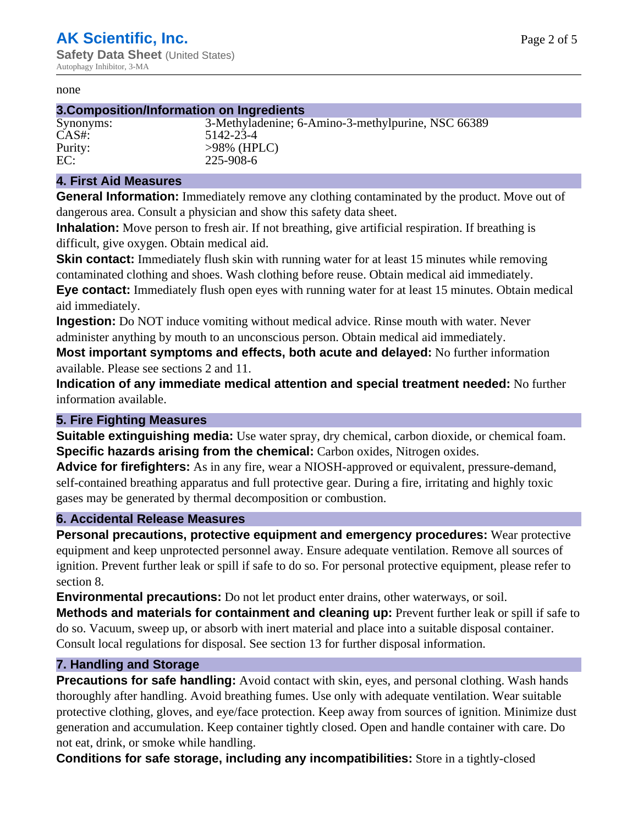#### none

#### **3.Composition/Information on Ingredients**

Synonyms: 3-Methyladenine; 6-Amino-3-methylpurine, NSC 66389 CAS#: 5142-23-4 Purity:  $>98\%$  (HPLC)<br>EC: 225-908-6 EC: 225-908-6

#### **4. First Aid Measures**

**General Information:** Immediately remove any clothing contaminated by the product. Move out of dangerous area. Consult a physician and show this safety data sheet.

**Inhalation:** Move person to fresh air. If not breathing, give artificial respiration. If breathing is difficult, give oxygen. Obtain medical aid.

**Skin contact:** Immediately flush skin with running water for at least 15 minutes while removing contaminated clothing and shoes. Wash clothing before reuse. Obtain medical aid immediately. **Eye contact:** Immediately flush open eyes with running water for at least 15 minutes. Obtain medical aid immediately.

**Ingestion:** Do NOT induce vomiting without medical advice. Rinse mouth with water. Never administer anything by mouth to an unconscious person. Obtain medical aid immediately.

**Most important symptoms and effects, both acute and delayed:** No further information available. Please see sections 2 and 11.

**Indication of any immediate medical attention and special treatment needed:** No further information available.

#### **5. Fire Fighting Measures**

**Suitable extinguishing media:** Use water spray, dry chemical, carbon dioxide, or chemical foam. **Specific hazards arising from the chemical:** Carbon oxides, Nitrogen oxides.

**Advice for firefighters:** As in any fire, wear a NIOSH-approved or equivalent, pressure-demand, self-contained breathing apparatus and full protective gear. During a fire, irritating and highly toxic gases may be generated by thermal decomposition or combustion.

#### **6. Accidental Release Measures**

**Personal precautions, protective equipment and emergency procedures:** Wear protective equipment and keep unprotected personnel away. Ensure adequate ventilation. Remove all sources of ignition. Prevent further leak or spill if safe to do so. For personal protective equipment, please refer to section 8.

**Environmental precautions:** Do not let product enter drains, other waterways, or soil.

**Methods and materials for containment and cleaning up:** Prevent further leak or spill if safe to do so. Vacuum, sweep up, or absorb with inert material and place into a suitable disposal container. Consult local regulations for disposal. See section 13 for further disposal information.

#### **7. Handling and Storage**

**Precautions for safe handling:** Avoid contact with skin, eyes, and personal clothing. Wash hands thoroughly after handling. Avoid breathing fumes. Use only with adequate ventilation. Wear suitable protective clothing, gloves, and eye/face protection. Keep away from sources of ignition. Minimize dust generation and accumulation. Keep container tightly closed. Open and handle container with care. Do not eat, drink, or smoke while handling.

**Conditions for safe storage, including any incompatibilities:** Store in a tightly-closed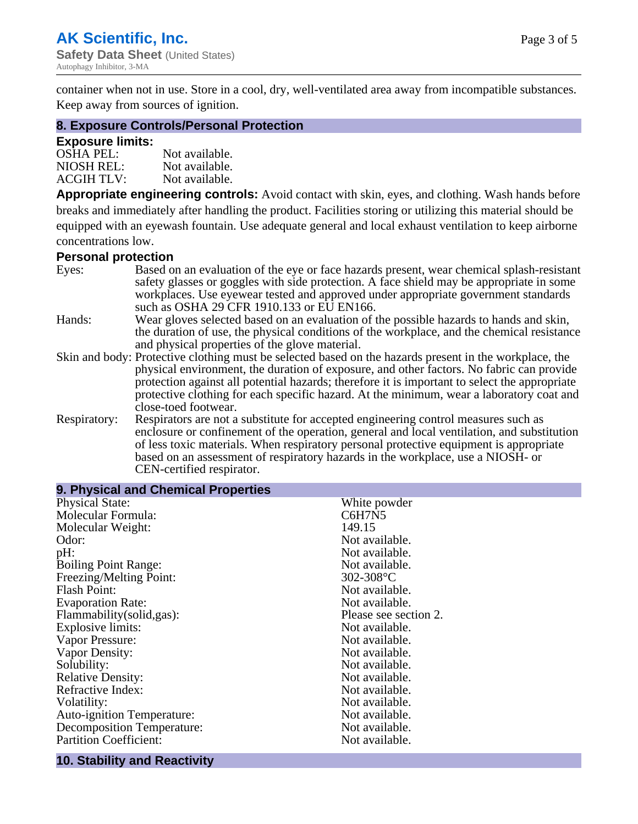container when not in use. Store in a cool, dry, well-ventilated area away from incompatible substances. Keep away from sources of ignition.

#### **8. Exposure Controls/Personal Protection**

#### **Exposure limits:**

| <b>OSHA PEL:</b>  | Not available. |
|-------------------|----------------|
| NIOSH REL:        | Not available. |
| <b>ACGIH TLV:</b> | Not available. |

**Appropriate engineering controls:** Avoid contact with skin, eyes, and clothing. Wash hands before breaks and immediately after handling the product. Facilities storing or utilizing this material should be equipped with an eyewash fountain. Use adequate general and local exhaust ventilation to keep airborne concentrations low.

#### **Personal protection**

| Eyes:        | Based on an evaluation of the eye or face hazards present, wear chemical splash-resistant<br>safety glasses or goggles with side protection. A face shield may be appropriate in some |  |  |
|--------------|---------------------------------------------------------------------------------------------------------------------------------------------------------------------------------------|--|--|
|              | workplaces. Use eyewear tested and approved under appropriate government standards<br>such as OSHA 29 CFR 1910.133 or EU EN166.                                                       |  |  |
| Hands:       | Wear gloves selected based on an evaluation of the possible hazards to hands and skin,                                                                                                |  |  |
|              | the duration of use, the physical conditions of the workplace, and the chemical resistance                                                                                            |  |  |
|              | and physical properties of the glove material.                                                                                                                                        |  |  |
|              | Skin and body: Protective clothing must be selected based on the hazards present in the workplace, the                                                                                |  |  |
|              | physical environment, the duration of exposure, and other factors. No fabric can provide                                                                                              |  |  |
|              | protection against all potential hazards; therefore it is important to select the appropriate                                                                                         |  |  |
|              | protective clothing for each specific hazard. At the minimum, wear a laboratory coat and                                                                                              |  |  |
|              | close-toed footwear.                                                                                                                                                                  |  |  |
| Respiratory: | Respirators are not a substitute for accepted engineering control measures such as<br>enclosure or confinement of the operation, general and local ventilation, and substitution      |  |  |
|              | of less toxic materials. When respiratory personal protective equipment is appropriate                                                                                                |  |  |
|              | based on an assessment of respiratory hazards in the workplace, use a NIOSH- or                                                                                                       |  |  |
|              | CEN-certified respirator.                                                                                                                                                             |  |  |

| 9. Physical and Chemical Properties |                       |  |
|-------------------------------------|-----------------------|--|
| <b>Physical State:</b>              | White powder          |  |
| Molecular Formula:                  | C6H7N5                |  |
| Molecular Weight:                   | 149.15                |  |
| Odor:                               | Not available.        |  |
| pH:                                 | Not available.        |  |
| <b>Boiling Point Range:</b>         | Not available.        |  |
| Freezing/Melting Point:             | $302 - 308$ °C        |  |
| <b>Flash Point:</b>                 | Not available.        |  |
| <b>Evaporation Rate:</b>            | Not available.        |  |
| Flammability(solid,gas):            | Please see section 2. |  |
| Explosive limits:                   | Not available.        |  |
| Vapor Pressure:                     | Not available.        |  |
| Vapor Density:                      | Not available.        |  |
| Solubility:                         | Not available.        |  |
| <b>Relative Density:</b>            | Not available.        |  |
| Refractive Index:                   | Not available.        |  |
| Volatility:                         | Not available.        |  |
| <b>Auto-ignition Temperature:</b>   | Not available.        |  |
| <b>Decomposition Temperature:</b>   | Not available.        |  |
| <b>Partition Coefficient:</b>       | Not available.        |  |
|                                     |                       |  |

## **10. Stability and Reactivity**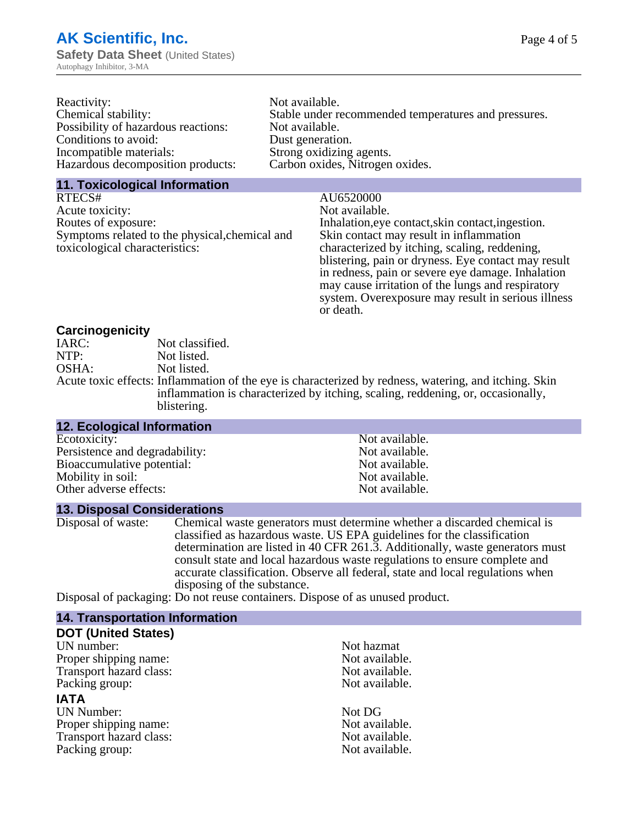| Reactivity:                         | Not available.                                       |
|-------------------------------------|------------------------------------------------------|
| Chemical stability:                 | Stable under recommended temperatures and pressures. |
| Possibility of hazardous reactions: | Not available.                                       |
| Conditions to avoid:                | Dust generation.                                     |
| Incompatible materials:             | Strong oxidizing agents.                             |
| Hazardous decomposition products:   | Carbon oxides, Nitrogen oxides.                      |
|                                     |                                                      |

#### **11. Toxicological Information**

RTECS# AU6520000<br>Acute toxicity: Not available. Acute toxicity:<br>Routes of exposure: Symptoms related to the physical,chemical and toxicological characteristics:

Inhalation,eye contact, skin contact, ingestion. Skin contact may result in inflammation characterized by itching, scaling, reddening, blistering, pain or dryness. Eye contact may result in redness, pain or severe eye damage. Inhalation may cause irritation of the lungs and respiratory system. Overexposure may result in serious illness or death.

#### **Carcinogenicity**

| IARC: | Not classified.                                                                                       |
|-------|-------------------------------------------------------------------------------------------------------|
| NTP:  | Not listed.                                                                                           |
| OSHA: | Not listed.                                                                                           |
|       | Acute toxic effects: Inflammation of the eye is characterized by redness, watering, and itching. Skin |
|       | inflammation is characterized by itching, scaling, reddening, or, occasionally,                       |
|       | blistering.                                                                                           |

| <b>12. Ecological Information</b> |                |  |
|-----------------------------------|----------------|--|
| Ecotoxicity:                      | Not available. |  |
| Persistence and degradability:    | Not available. |  |
| Bioaccumulative potential:        | Not available. |  |
| Mobility in soil:                 | Not available. |  |
| Other adverse effects:            | Not available. |  |

#### **13. Disposal Considerations**

Disposal of waste: Chemical waste generators must determine whether a discarded chemical is classified as hazardous waste. US EPA guidelines for the classification determination are listed in 40 CFR 261.3. Additionally, waste generators must consult state and local hazardous waste regulations to ensure complete and accurate classification. Observe all federal, state and local regulations when disposing of the substance.

Disposal of packaging: Do not reuse containers. Dispose of as unused product.

| Not hazmat     |
|----------------|
| Not available. |
| Not available. |
| Not available. |
|                |
| Not DG         |
| Not available. |
| Not available. |
| Not available. |
|                |